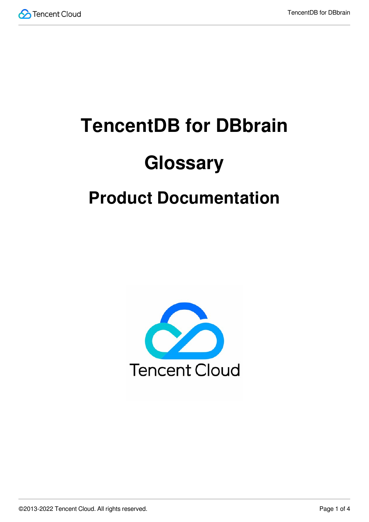

# **TencentDB for DBbrain Glossary**

## **Product Documentation**

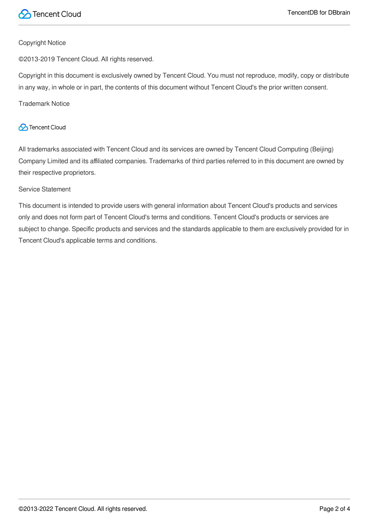

#### Copyright Notice

©2013-2019 Tencent Cloud. All rights reserved.

Copyright in this document is exclusively owned by Tencent Cloud. You must not reproduce, modify, copy or distribute in any way, in whole or in part, the contents of this document without Tencent Cloud's the prior written consent.

Trademark Notice

#### **C** Tencent Cloud

All trademarks associated with Tencent Cloud and its services are owned by Tencent Cloud Computing (Beijing) Company Limited and its affiliated companies. Trademarks of third parties referred to in this document are owned by their respective proprietors.

#### Service Statement

This document is intended to provide users with general information about Tencent Cloud's products and services only and does not form part of Tencent Cloud's terms and conditions. Tencent Cloud's products or services are subject to change. Specific products and services and the standards applicable to them are exclusively provided for in Tencent Cloud's applicable terms and conditions.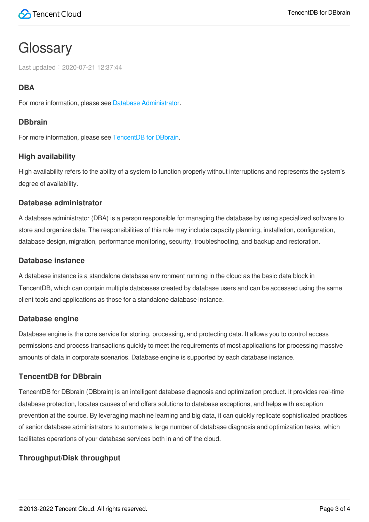### **Glossary**

Last updated:2020-07-21 12:37:44

#### **DBA**

For more information, please see Database [Administrator.](#page-2-0)

#### **DBbrain**

For more information, please see [TencentDB](#page-2-1) for DBbrain.

#### **High availability**

High availability refers to the ability of a system to function properly without interruptions and represents the system's degree of availability.

#### <span id="page-2-0"></span>**Database administrator**

A database administrator (DBA) is a person responsible for managing the database by using specialized software to store and organize data. The responsibilities of this role may include capacity planning, installation, configuration, database design, migration, performance monitoring, security, troubleshooting, and backup and restoration.

#### **Database instance**

A database instance is a standalone database environment running in the cloud as the basic data block in TencentDB, which can contain multiple databases created by database users and can be accessed using the same client tools and applications as those for a standalone database instance.

#### **Database engine**

<span id="page-2-1"></span>Database engine is the core service for storing, processing, and protecting data. It allows you to control access permissions and process transactions quickly to meet the requirements of most applications for processing massive amounts of data in corporate scenarios. Database engine is supported by each database instance.

#### **TencentDB for DBbrain**

TencentDB for DBbrain (DBbrain) is an intelligent database diagnosis and optimization product. It provides real-time database protection, locates causes of and offers solutions to database exceptions, and helps with exception prevention at the source. By leveraging machine learning and big data, it can quickly replicate sophisticated practices of senior database administrators to automate a large number of database diagnosis and optimization tasks, which facilitates operations of your database services both in and off the cloud.

#### **Throughput/Disk throughput**